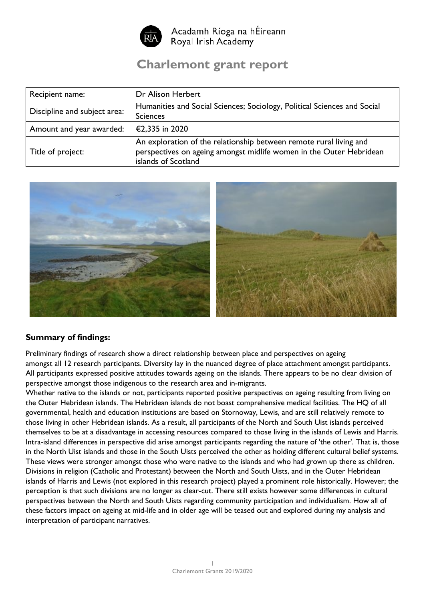

Acadamh Ríoga na hÉireann Royal Irish Academy

# **Charlemont grant report**

| Recipient name:              | Dr Alison Herbert                                                                                                                                                |
|------------------------------|------------------------------------------------------------------------------------------------------------------------------------------------------------------|
| Discipline and subject area: | Humanities and Social Sciences; Sociology, Political Sciences and Social<br><b>Sciences</b>                                                                      |
| Amount and year awarded:     | €2,335 in 2020                                                                                                                                                   |
| Title of project:            | An exploration of the relationship between remote rural living and<br>perspectives on ageing amongst midlife women in the Outer Hebridean<br>islands of Scotland |



## **Summary of findings:**

Preliminary findings of research show a direct relationship between place and perspectives on ageing amongst all 12 research participants. Diversity lay in the nuanced degree of place attachment amongst participants. All participants expressed positive attitudes towards ageing on the islands. There appears to be no clear division of perspective amongst those indigenous to the research area and in-migrants.

Whether native to the islands or not, participants reported positive perspectives on ageing resulting from living on the Outer Hebridean islands. The Hebridean islands do not boast comprehensive medical facilities. The HQ of all governmental, health and education institutions are based on Stornoway, Lewis, and are still relatively remote to those living in other Hebridean islands. As a result, all participants of the North and South Uist islands perceived themselves to be at a disadvantage in accessing resources compared to those living in the islands of Lewis and Harris. Intra-island differences in perspective did arise amongst participants regarding the nature of 'the other'. That is, those in the North Uist islands and those in the South Uists perceived the other as holding different cultural belief systems. These views were stronger amongst those who were native to the islands and who had grown up there as children. Divisions in religion (Catholic and Protestant) between the North and South Uists, and in the Outer Hebridean islands of Harris and Lewis (not explored in this research project) played a prominent role historically. However; the perception is that such divisions are no longer as clear-cut. There still exists however some differences in cultural perspectives between the North and South Uists regarding community participation and individualism. How all of these factors impact on ageing at mid-life and in older age will be teased out and explored during my analysis and interpretation of participant narratives.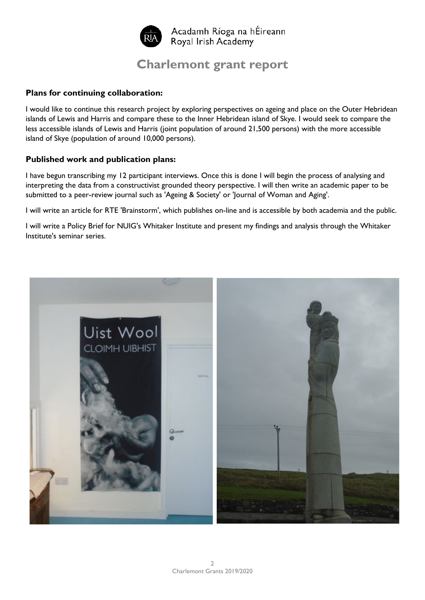

## **Charlemont grant report**

### **Plans for continuing collaboration:**

I would like to continue this research project by exploring perspectives on ageing and place on the Outer Hebridean islands of Lewis and Harris and compare these to the Inner Hebridean island of Skye. I would seek to compare the less accessible islands of Lewis and Harris (joint population of around 21,500 persons) with the more accessible island of Skye (population of around 10,000 persons).

## **Published work and publication plans:**

I have begun transcribing my 12 participant interviews. Once this is done I will begin the process of analysing and interpreting the data from a constructivist grounded theory perspective. I will then write an academic paper to be submitted to a peer-review journal such as 'Ageing & Society' or 'Journal of Woman and Aging'.

I will write an article for RTE 'Brainstorm', which publishes on-line and is accessible by both academia and the public.

I will write a Policy Brief for NUIG's Whitaker Institute and present my findings and analysis through the Whitaker Institute's seminar series.